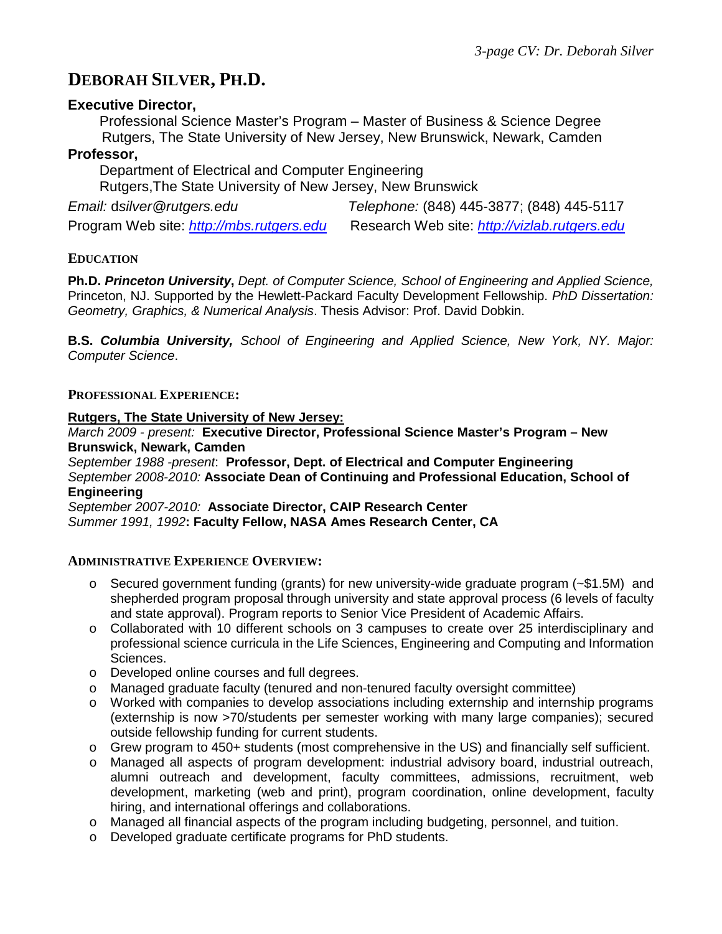# **DEBORAH SILVER, PH.D.**

# **Executive Director,**

 Professional Science Master's Program – Master of Business & Science Degree Rutgers, The State University of New Jersey, New Brunswick, Newark, Camden

## **Professor,**

 Department of Electrical and Computer Engineering Rutgers,The State University of New Jersey, New Brunswick

*Email:* d*silver@rutgers.edu Telephone:* (848) 445-3877; (848) 445-5117

Program Web site: *[http://mbs.rutgers.edu](http://mbs.rutgers.edu/)* Research Web site: *[http://vizlab.rutgers.edu](http://vizlab.rutgers.edu/)*

# **EDUCATION**

**Ph.D.** *Princeton University***,** *Dept. of Computer Science, School of Engineering and Applied Science,* Princeton, NJ. Supported by the Hewlett-Packard Faculty Development Fellowship. *PhD Dissertation: Geometry, Graphics, & Numerical Analysis*. Thesis Advisor: Prof. David Dobkin.

**B.S.** *Columbia University, School of Engineering and Applied Science, New York, NY. Major: Computer Science*.

## **PROFESSIONAL EXPERIENCE:**

### **Rutgers, The State University of New Jersey:**

*March 2009 - present:* **Executive Director, Professional Science Master's Program – New Brunswick, Newark, Camden**

*September 1988 -present*: **Professor, Dept. of Electrical and Computer Engineering** *September 2008-2010:* **Associate Dean of Continuing and Professional Education, School of Engineering**

*September 2007-2010:* **Associate Director, CAIP Research Center** *Summer 1991, 1992***: Faculty Fellow, NASA Ames Research Center, CA**

### **ADMINISTRATIVE EXPERIENCE OVERVIEW:**

- o Secured government funding (grants) for new university-wide graduate program (~\$1.5M) and shepherded program proposal through university and state approval process (6 levels of faculty and state approval). Program reports to Senior Vice President of Academic Affairs.
- o Collaborated with 10 different schools on 3 campuses to create over 25 interdisciplinary and professional science curricula in the Life Sciences, Engineering and Computing and Information Sciences.
- o Developed online courses and full degrees.
- o Managed graduate faculty (tenured and non-tenured faculty oversight committee)
- o Worked with companies to develop associations including externship and internship programs (externship is now >70/students per semester working with many large companies); secured outside fellowship funding for current students.
- o Grew program to 450+ students (most comprehensive in the US) and financially self sufficient.
- o Managed all aspects of program development: industrial advisory board, industrial outreach, alumni outreach and development, faculty committees, admissions, recruitment, web development, marketing (web and print), program coordination, online development, faculty hiring, and international offerings and collaborations.
- o Managed all financial aspects of the program including budgeting, personnel, and tuition.
- o Developed graduate certificate programs for PhD students.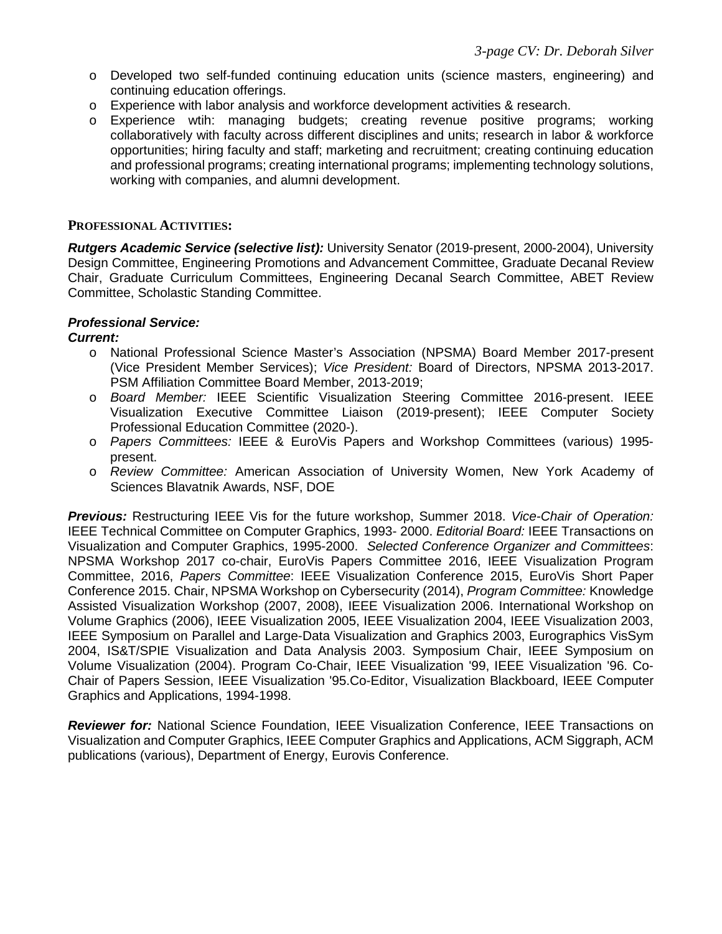- o Developed two self-funded continuing education units (science masters, engineering) and continuing education offerings.
- o Experience with labor analysis and workforce development activities & research.
- o Experience wtih: managing budgets; creating revenue positive programs; working collaboratively with faculty across different disciplines and units; research in labor & workforce opportunities; hiring faculty and staff; marketing and recruitment; creating continuing education and professional programs; creating international programs; implementing technology solutions, working with companies, and alumni development.

### **PROFESSIONAL ACTIVITIES:**

*Rutgers Academic Service (selective list):* University Senator (2019-present, 2000-2004), University Design Committee, Engineering Promotions and Advancement Committee, Graduate Decanal Review Chair, Graduate Curriculum Committees, Engineering Decanal Search Committee, ABET Review Committee, Scholastic Standing Committee.

### *Professional Service:*

#### *Current:*

- o National Professional Science Master's Association (NPSMA) Board Member 2017-present (Vice President Member Services); *Vice President:* Board of Directors, NPSMA 2013-2017. PSM Affiliation Committee Board Member, 2013-2019;
- o *Board Member:* IEEE Scientific Visualization Steering Committee 2016-present. IEEE Visualization Executive Committee Liaison (2019-present); IEEE Computer Society Professional Education Committee (2020-).
- o *Papers Committees:* IEEE & EuroVis Papers and Workshop Committees (various) 1995 present.
- o *Review Committee:* American Association of University Women, New York Academy of Sciences Blavatnik Awards, NSF, DOE

*Previous:* Restructuring IEEE Vis for the future workshop, Summer 2018. *Vice-Chair of Operation:* IEEE Technical Committee on Computer Graphics, 1993- 2000. *Editorial Board:* IEEE Transactions on Visualization and Computer Graphics, 1995-2000. *Selected Conference Organizer and Committees*: NPSMA Workshop 2017 co-chair, EuroVis Papers Committee 2016, IEEE Visualization Program Committee, 2016, *Papers Committee*: IEEE Visualization Conference 2015, EuroVis Short Paper Conference 2015. Chair, NPSMA Workshop on Cybersecurity (2014), *Program Committee:* Knowledge Assisted Visualization Workshop (2007, 2008), IEEE Visualization 2006. International Workshop on Volume Graphics (2006), IEEE Visualization 2005, IEEE Visualization 2004, IEEE Visualization 2003, IEEE Symposium on Parallel and Large-Data Visualization and Graphics 2003, Eurographics VisSym 2004, IS&T/SPIE Visualization and Data Analysis 2003. Symposium Chair, IEEE Symposium on Volume Visualization (2004). Program Co-Chair, IEEE Visualization '99, IEEE Visualization '96. Co-Chair of Papers Session, IEEE Visualization '95.Co-Editor, Visualization Blackboard, IEEE Computer Graphics and Applications, 1994-1998.

*Reviewer for:* National Science Foundation, IEEE Visualization Conference, IEEE Transactions on Visualization and Computer Graphics, IEEE Computer Graphics and Applications, ACM Siggraph, ACM publications (various), Department of Energy, Eurovis Conference.